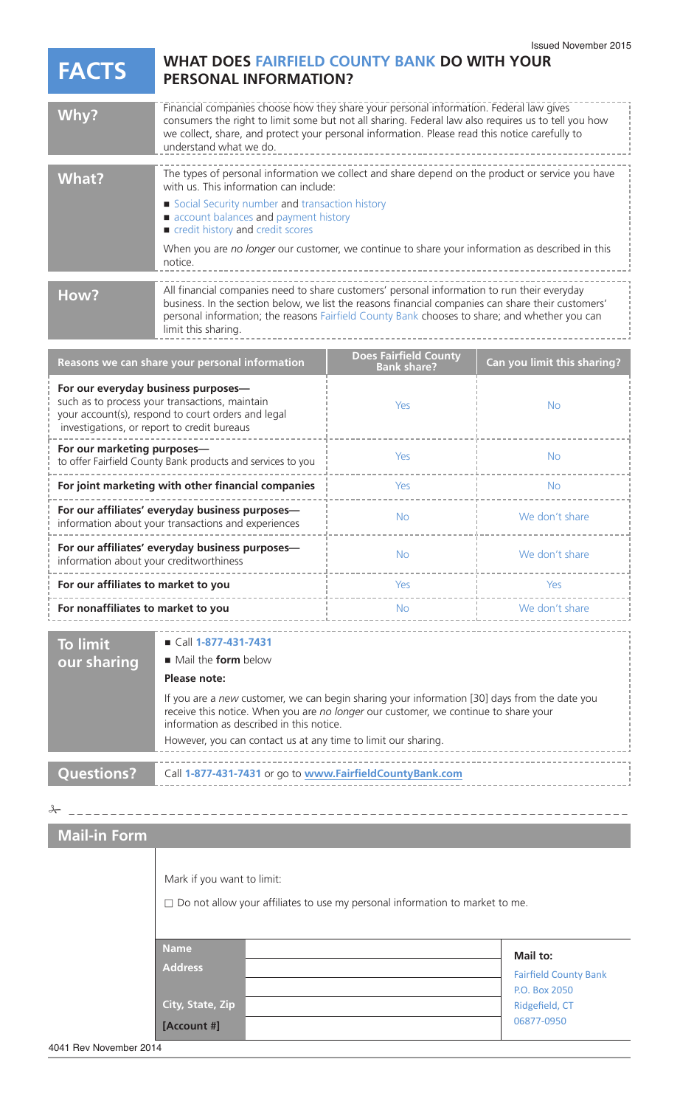## **WHAT DOES FAIRFIELD COUNTY BANK DO WITH YOUR FACTS PERSONAL INFORMATION?** --------------------

| Why?                                                                                                                                                                                                                                                                                                                              | Financial companies choose how they share your personal information. Federal law gives<br>consumers the right to limit some but not all sharing. Federal law also requires us to tell you how<br>we collect, share, and protect your personal information. Please read this notice carefully to<br>understand what we do.                                                              |                                              |                             |  |
|-----------------------------------------------------------------------------------------------------------------------------------------------------------------------------------------------------------------------------------------------------------------------------------------------------------------------------------|----------------------------------------------------------------------------------------------------------------------------------------------------------------------------------------------------------------------------------------------------------------------------------------------------------------------------------------------------------------------------------------|----------------------------------------------|-----------------------------|--|
| <b>What?</b>                                                                                                                                                                                                                                                                                                                      | The types of personal information we collect and share depend on the product or service you have<br>with us. This information can include:<br>Social Security number and transaction history<br>account balances and payment history<br>credit history and credit scores<br>When you are no longer our customer, we continue to share your information as described in this<br>notice. |                                              |                             |  |
| All financial companies need to share customers' personal information to run their everyday<br>How?<br>business. In the section below, we list the reasons financial companies can share their customers'<br>personal information; the reasons Fairfield County Bank chooses to share; and whether you can<br>limit this sharing. |                                                                                                                                                                                                                                                                                                                                                                                        |                                              |                             |  |
|                                                                                                                                                                                                                                                                                                                                   | Reasons we can share your personal information                                                                                                                                                                                                                                                                                                                                         | <b>Does Fairfield County<br/>Bank share?</b> | Can you limit this sharing? |  |
| For our everyday business purposes-<br>such as to process your transactions, maintain<br>your account(s), respond to court orders and legal<br>investigations, or report to credit bureaus                                                                                                                                        |                                                                                                                                                                                                                                                                                                                                                                                        | Yes                                          | <b>No</b>                   |  |
| For our marketing purposes-<br>to offer Fairfield County Bank products and services to you                                                                                                                                                                                                                                        |                                                                                                                                                                                                                                                                                                                                                                                        | Yes                                          | <b>No</b>                   |  |
| For joint marketing with other financial companies                                                                                                                                                                                                                                                                                |                                                                                                                                                                                                                                                                                                                                                                                        | Yes                                          | <b>No</b>                   |  |
| For our affiliates' everyday business purposes-<br>information about your transactions and experiences                                                                                                                                                                                                                            |                                                                                                                                                                                                                                                                                                                                                                                        | <b>No</b>                                    | We don't share              |  |
| For our affiliates' everyday business purposes-<br>information about your creditworthiness                                                                                                                                                                                                                                        |                                                                                                                                                                                                                                                                                                                                                                                        | <b>No</b>                                    | We don't share              |  |
| For our affiliates to market to you                                                                                                                                                                                                                                                                                               |                                                                                                                                                                                                                                                                                                                                                                                        | Yes                                          | <b>Yes</b>                  |  |
| For nonaffiliates to market to you                                                                                                                                                                                                                                                                                                |                                                                                                                                                                                                                                                                                                                                                                                        | <b>No</b>                                    | We don't share              |  |
| <b>To limit</b><br>our sharing                                                                                                                                                                                                                                                                                                    | $\blacksquare$ Call 1-877-431-7431<br>Mail the form below<br>Please note:<br>If you are a new customer, we can begin sharing your information [30] days from the date you<br>receive this notice. When you are no longer our customer, we continue to share your<br>information as described in this notice.<br>However, you can contact us at any time to limit our sharing.          |                                              |                             |  |

**Questions?**

Call **1-877-431-7431** or go to **www.FairfieldCountyBank.com**

## **Mail-in Form**

| Mark if you want to limit:<br>$\Box$ Do not allow your affiliates to use my personal information to market to me. |  |                                                                                           |
|-------------------------------------------------------------------------------------------------------------------|--|-------------------------------------------------------------------------------------------|
| <b>Name</b><br><b>Address</b><br>City, State, Zip $^{\dagger}$<br>[Account #]                                     |  | Mail to:<br><b>Fairfield County Bank</b><br>P.O. Box 2050<br>Ridgefield, CT<br>06877-0950 |

\_ \_ \_ \_ \_ \_ \_ \_ \_ \_ \_ \_ \_ \_ \_ \_ \_ \_ \_ \_ \_ \_ \_ \_ \_ \_ \_ \_ \_ \_ \_ \_ \_ \_ \_ \_ \_ \_ \_ \_ \_ \_ \_ \_ \_ \_ \_ \_ \_ \_ \_ \_ \_ \_ \_ \_ \_ \_ \_ \_ \_ \_ \_ \_ \_ \_ \_